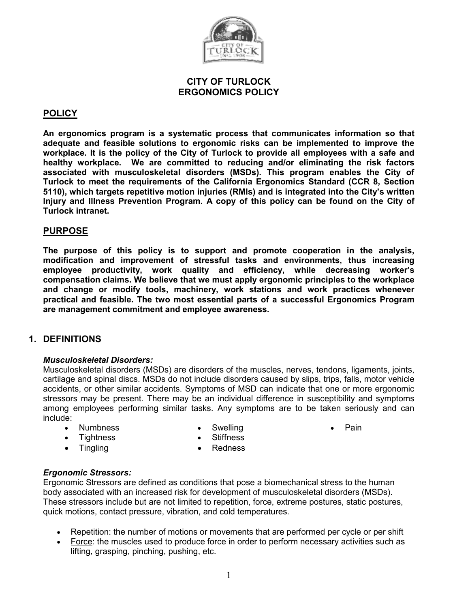

#### CITY OF TURLOCK ERGONOMICS POLICY

# **POLICY**

An ergonomics program is a systematic process that communicates information so that adequate and feasible solutions to ergonomic risks can be implemented to improve the workplace. It is the policy of the City of Turlock to provide all employees with a safe and healthy workplace. We are committed to reducing and/or eliminating the risk factors associated with musculoskeletal disorders (MSDs). This program enables the City of Turlock to meet the requirements of the California Ergonomics Standard (CCR 8, Section 5110), which targets repetitive motion injuries (RMIs) and is integrated into the City's written Injury and Illness Prevention Program. A copy of this policy can be found on the City of Turlock intranet.

# PURPOSE

The purpose of this policy is to support and promote cooperation in the analysis, modification and improvement of stressful tasks and environments, thus increasing employee productivity, work quality and efficiency, while decreasing worker's compensation claims. We believe that we must apply ergonomic principles to the workplace and change or modify tools, machinery, work stations and work practices whenever practical and feasible. The two most essential parts of a successful Ergonomics Program are management commitment and employee awareness.

# 1. DEFINITIONS

#### Musculoskeletal Disorders:

Musculoskeletal disorders (MSDs) are disorders of the muscles, nerves, tendons, ligaments, joints, cartilage and spinal discs. MSDs do not include disorders caused by slips, trips, falls, motor vehicle accidents, or other similar accidents. Symptoms of MSD can indicate that one or more ergonomic stressors may be present. There may be an individual difference in susceptibility and symptoms among employees performing similar tasks. Any symptoms are to be taken seriously and can include:

• Numbness

**Swelling Stiffness**  • Pain

**Tightness** 

• Tingling **• Redness** 

#### Ergonomic Stressors:

Ergonomic Stressors are defined as conditions that pose a biomechanical stress to the human body associated with an increased risk for development of musculoskeletal disorders (MSDs). These stressors include but are not limited to repetition, force, extreme postures, static postures, quick motions, contact pressure, vibration, and cold temperatures.

- Repetition: the number of motions or movements that are performed per cycle or per shift
- Force: the muscles used to produce force in order to perform necessary activities such as lifting, grasping, pinching, pushing, etc.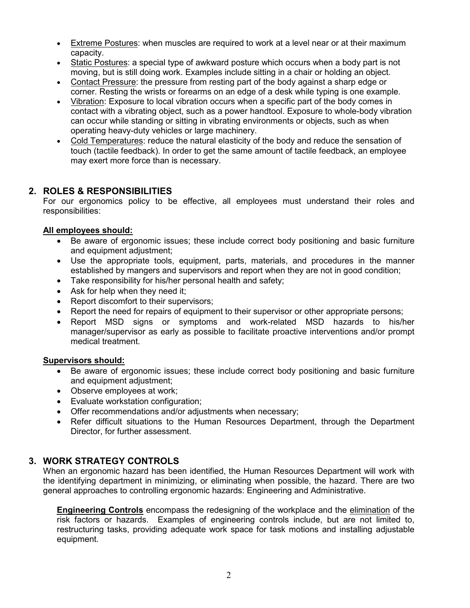- Extreme Postures: when muscles are required to work at a level near or at their maximum capacity.
- Static Postures: a special type of awkward posture which occurs when a body part is not moving, but is still doing work. Examples include sitting in a chair or holding an object.
- Contact Pressure: the pressure from resting part of the body against a sharp edge or corner. Resting the wrists or forearms on an edge of a desk while typing is one example.
- Vibration: Exposure to local vibration occurs when a specific part of the body comes in contact with a vibrating object, such as a power handtool. Exposure to whole-body vibration can occur while standing or sitting in vibrating environments or objects, such as when operating heavy-duty vehicles or large machinery.
- Cold Temperatures: reduce the natural elasticity of the body and reduce the sensation of touch (tactile feedback). In order to get the same amount of tactile feedback, an employee may exert more force than is necessary.

# 2. ROLES & RESPONSIBILITIES

For our ergonomics policy to be effective, all employees must understand their roles and responsibilities:

#### All employees should:

- Be aware of ergonomic issues; these include correct body positioning and basic furniture and equipment adjustment;
- Use the appropriate tools, equipment, parts, materials, and procedures in the manner established by mangers and supervisors and report when they are not in good condition;
- Take responsibility for his/her personal health and safety;
- Ask for help when they need it;
- Report discomfort to their supervisors:
- Report the need for repairs of equipment to their supervisor or other appropriate persons;
- Report MSD signs or symptoms and work-related MSD hazards to his/her manager/supervisor as early as possible to facilitate proactive interventions and/or prompt medical treatment.

#### Supervisors should:

- Be aware of ergonomic issues; these include correct body positioning and basic furniture and equipment adjustment;
- Observe employees at work:
- Evaluate workstation configuration;
- Offer recommendations and/or adjustments when necessary;
- Refer difficult situations to the Human Resources Department, through the Department Director, for further assessment.

# 3. WORK STRATEGY CONTROLS

When an ergonomic hazard has been identified, the Human Resources Department will work with the identifying department in minimizing, or eliminating when possible, the hazard. There are two general approaches to controlling ergonomic hazards: Engineering and Administrative.

Engineering Controls encompass the redesigning of the workplace and the elimination of the risk factors or hazards. Examples of engineering controls include, but are not limited to, restructuring tasks, providing adequate work space for task motions and installing adjustable equipment.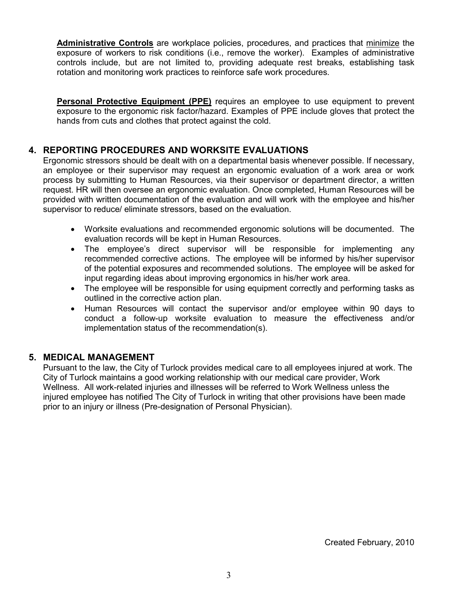Administrative Controls are workplace policies, procedures, and practices that minimize the exposure of workers to risk conditions (i.e., remove the worker). Examples of administrative controls include, but are not limited to, providing adequate rest breaks, establishing task rotation and monitoring work practices to reinforce safe work procedures.

**Personal Protective Equipment (PPE)** requires an employee to use equipment to prevent exposure to the ergonomic risk factor/hazard. Examples of PPE include gloves that protect the hands from cuts and clothes that protect against the cold.

# 4. REPORTING PROCEDURES AND WORKSITE EVALUATIONS

Ergonomic stressors should be dealt with on a departmental basis whenever possible. If necessary, an employee or their supervisor may request an ergonomic evaluation of a work area or work process by submitting to Human Resources, via their supervisor or department director, a written request. HR will then oversee an ergonomic evaluation. Once completed, Human Resources will be provided with written documentation of the evaluation and will work with the employee and his/her supervisor to reduce/ eliminate stressors, based on the evaluation.

- Worksite evaluations and recommended ergonomic solutions will be documented. The evaluation records will be kept in Human Resources.
- The employee's direct supervisor will be responsible for implementing any recommended corrective actions. The employee will be informed by his/her supervisor of the potential exposures and recommended solutions. The employee will be asked for input regarding ideas about improving ergonomics in his/her work area.
- The employee will be responsible for using equipment correctly and performing tasks as outlined in the corrective action plan.
- Human Resources will contact the supervisor and/or employee within 90 days to conduct a follow-up worksite evaluation to measure the effectiveness and/or implementation status of the recommendation(s).

# 5. MEDICAL MANAGEMENT

Pursuant to the law, the City of Turlock provides medical care to all employees injured at work. The City of Turlock maintains a good working relationship with our medical care provider, Work Wellness. All work-related injuries and illnesses will be referred to Work Wellness unless the injured employee has notified The City of Turlock in writing that other provisions have been made prior to an injury or illness (Pre-designation of Personal Physician).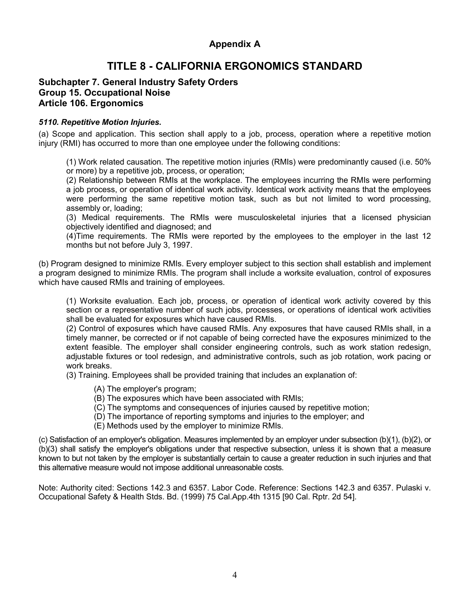# Appendix A

# TITLE 8 - CALIFORNIA ERGONOMICS STANDARD

#### Subchapter 7. General Industry Safety Orders Group 15. Occupational Noise Article 106. Ergonomics

#### 5110. Repetitive Motion Injuries.

(a) Scope and application. This section shall apply to a job, process, operation where a repetitive motion injury (RMI) has occurred to more than one employee under the following conditions:

(1) Work related causation. The repetitive motion injuries (RMIs) were predominantly caused (i.e. 50% or more) by a repetitive job, process, or operation;

(2) Relationship between RMIs at the workplace. The employees incurring the RMIs were performing a job process, or operation of identical work activity. Identical work activity means that the employees were performing the same repetitive motion task, such as but not limited to word processing, assembly or, loading;

(3) Medical requirements. The RMIs were musculoskeletal injuries that a licensed physician objectively identified and diagnosed; and

(4)Time requirements. The RMIs were reported by the employees to the employer in the last 12 months but not before July 3, 1997.

(b) Program designed to minimize RMIs. Every employer subject to this section shall establish and implement a program designed to minimize RMIs. The program shall include a worksite evaluation, control of exposures which have caused RMIs and training of employees.

(1) Worksite evaluation. Each job, process, or operation of identical work activity covered by this section or a representative number of such jobs, processes, or operations of identical work activities shall be evaluated for exposures which have caused RMIs.

(2) Control of exposures which have caused RMIs. Any exposures that have caused RMIs shall, in a timely manner, be corrected or if not capable of being corrected have the exposures minimized to the extent feasible. The employer shall consider engineering controls, such as work station redesign, adjustable fixtures or tool redesign, and administrative controls, such as job rotation, work pacing or work breaks.

(3) Training. Employees shall be provided training that includes an explanation of:

- (A) The employer's program;
- (B) The exposures which have been associated with RMIs;
- (C) The symptoms and consequences of injuries caused by repetitive motion;
- (D) The importance of reporting symptoms and injuries to the employer; and
- (E) Methods used by the employer to minimize RMIs.

(c) Satisfaction of an employer's obligation. Measures implemented by an employer under subsection (b)(1), (b)(2), or (b)(3) shall satisfy the employer's obligations under that respective subsection, unless it is shown that a measure known to but not taken by the employer is substantially certain to cause a greater reduction in such injuries and that this alternative measure would not impose additional unreasonable costs.

Note: Authority cited: Sections 142.3 and 6357. Labor Code. Reference: Sections 142.3 and 6357. Pulaski v. Occupational Safety & Health Stds. Bd. (1999) 75 Cal.App.4th 1315 [90 Cal. Rptr. 2d 54].